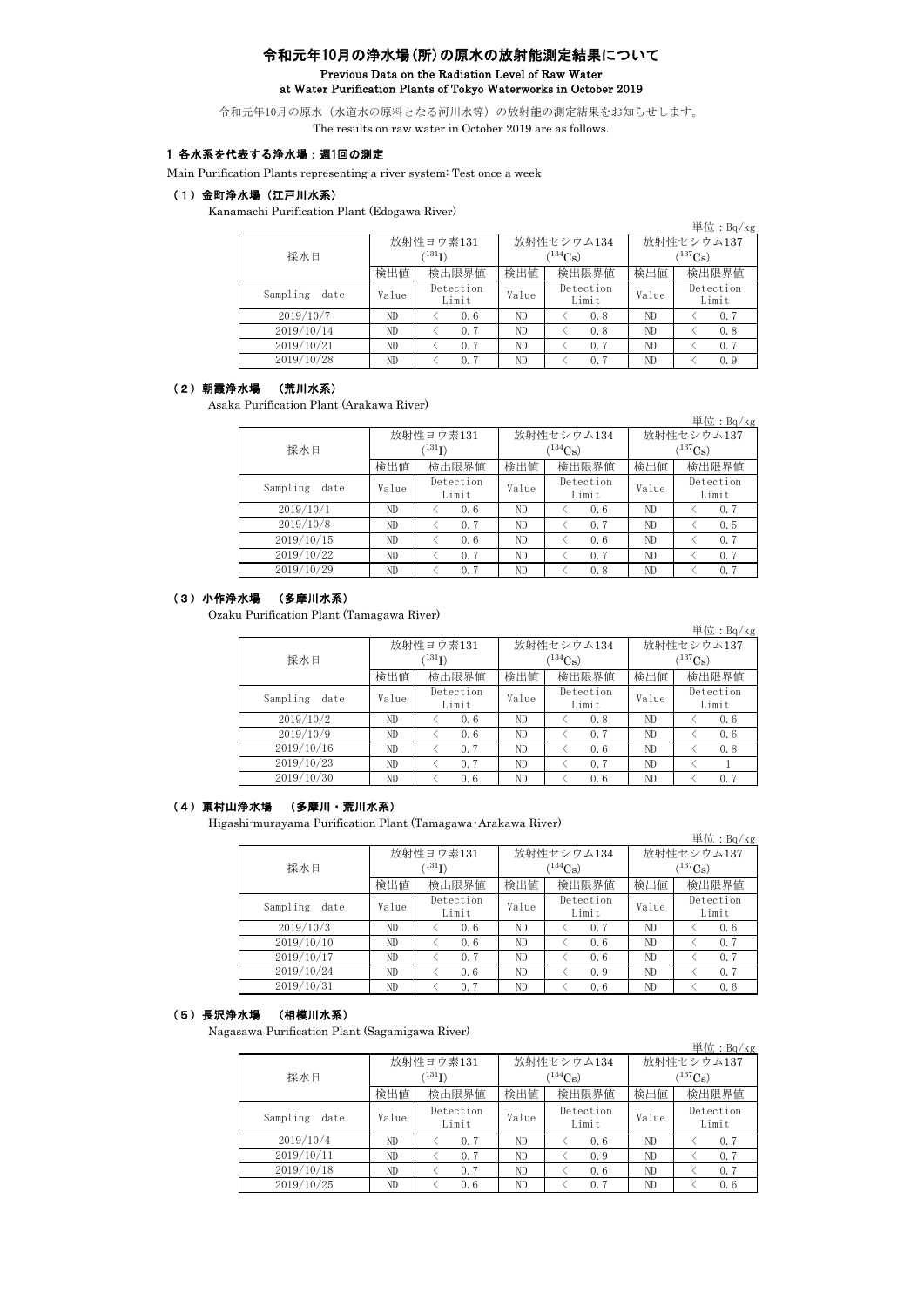# 令和元年10月の浄水場(所)の原水の放射能測定結果について Previous Data on the Radiation Level of Raw Water at Water Purification Plants of Tokyo Waterworks in October 2019

令和元年10月の原水(水道水の原料となる河川水等)の放射能の測定結果をお知らせします。 The results on raw water in October 2019 are as follows.

# 1 各水系を代表する浄水場:週1回の測定

Main Purification Plants representing a river system: Test once a week

### (1)金町浄水場(江戸川水系)

Kanamachi Purification Plant (Edogawa River)

|                  |       |                                   |              |                                  |                                     | 単位: $Bq/kg$        |  |  |
|------------------|-------|-----------------------------------|--------------|----------------------------------|-------------------------------------|--------------------|--|--|
| 採水日              |       | 放射性ヨウ素131<br>$(^{131}\mathrm{I})$ |              | 放射性セシウム134<br>$(^{134}{\rm Cs})$ | 放射性セシウム137<br>$(^{137}\mathrm{Cs})$ |                    |  |  |
|                  | 検出値   | 検出限界値                             | 検出限界値<br>検出値 |                                  | 検出値                                 | 検出限界値              |  |  |
| Sampling<br>date | Value | Detection<br>Limit                | Value        | Detection<br>Limit               | Value                               | Detection<br>Limit |  |  |
| 2019/10/7        | ND.   | 0.6                               | ND           | 0.8                              | ND                                  | 0.7                |  |  |
| 2019/10/14       | ND.   | 0.7                               | ND           | 0.8                              | ND                                  | 0.8                |  |  |
| 2019/10/21       | ND    | 0.7                               | ND           | 0.7                              | ND                                  | 0.7                |  |  |
| 2019/10/28       | ND    | 0.7                               | ND           | 0.7                              | ND                                  | 0.9                |  |  |

### (2)朝霞浄水場 (荒川水系)

Asaka Purification Plant (Arakawa River)

|                  |       |                    |       |                    |              | 単位: $Bq/kg$        |  |  |
|------------------|-------|--------------------|-------|--------------------|--------------|--------------------|--|--|
|                  |       | 放射性ヨウ素131          |       | 放射性セシウム134         | 放射性セシウム137   |                    |  |  |
| 採水日              |       | $^{131}$ I)        |       | $(134)$ Cs)        | $(^{137}Cs)$ |                    |  |  |
|                  | 検出値   | 検出限界値              | 検出値   | 検出限界値              | 検出値          | 検出限界値              |  |  |
| Sampling<br>date | Value | Detection<br>Limit | Value | Detection<br>Limit | Value        | Detection<br>Limit |  |  |
| 2019/10/1        | ND.   | 0.6                | ND    | 0.6                | ND           | 0.7                |  |  |
| 2019/10/8        | ND.   | 0.7                | ND    | 0.7                | ND           | 0.5                |  |  |
| 2019/10/15       | ND.   | 0.6                | ND    | 0.6                | ND           | 0.7                |  |  |
| 2019/10/22       | ND.   | 0.7                | ND    | 0.7                | ND           | 0.7                |  |  |
| 2019/10/29       | ND    | 0.7                | ND    | 0.8                | ND           | 0.7                |  |  |

#### (3)小作浄水場 (多摩川水系)

Ozaku Purification Plant (Tamagawa River)

|                  |                   |                    |              |                    |                       | 単位: $Bq/kg$        |  |  |
|------------------|-------------------|--------------------|--------------|--------------------|-----------------------|--------------------|--|--|
|                  |                   | 放射性ヨウ素131          |              | 放射性セシウム134         | 放射性セシウム137            |                    |  |  |
| 採水日              | $^{\prime131}$ I) |                    |              | $^{(134}Cs)$       | $^{(137)}\mathrm{Cs}$ |                    |  |  |
|                  | 検出値               | 検出限界値              | 検出限界値<br>検出値 |                    | 検出値                   | 検出限界値              |  |  |
| Sampling<br>date | Value             | Detection<br>Limit | Value        | Detection<br>Limit | Value                 | Detection<br>Limit |  |  |
| 2019/10/2        | ND.               | 0.6                | ND           | 0.8                | ND.                   | 0.6                |  |  |
| 2019/10/9        | ND.               | 0.6                | ND           | 0.7                | ND                    | 0.6                |  |  |
| 2019/10/16       | ND.               | 0.7                | ND           | 0.6                | ND.                   | 0.8                |  |  |
| 2019/10/23       | ND.               | 0.7                | ND           | 0.7                | ND                    |                    |  |  |
| 2019/10/30       | ND                | 0.6                | ND           | 0.6                | ND                    | 0.7                |  |  |

## (4)東村山浄水場 (多摩川・荒川水系)

Higashi-murayama Purification Plant (Tamagawa・Arakawa River)

|                  |             |                    |              |                    |              | 単位: $Bq/kg$        |  |
|------------------|-------------|--------------------|--------------|--------------------|--------------|--------------------|--|
|                  |             | 放射性ヨウ素131          |              | 放射性セシウム134         | 放射性セシウム137   |                    |  |
| 採水日              | $^{131}$ I) |                    |              | $134C_{\rm S}$     | $(^{137}Cs)$ |                    |  |
|                  | 検出値         | 検出限界値              | 検出限界値<br>検出値 |                    | 検出値          | 検出限界値              |  |
| Sampling<br>date | Value       | Detection<br>Limit | Value        | Detection<br>Limit | Value        | Detection<br>Limit |  |
| 2019/10/3        | ND          | 0.6                | ND           | 0.7                | ND           | 0.6                |  |
| 2019/10/10       | ND.         | 0.6                | ND           | 0.6                | ND           | 0.7                |  |
| 2019/10/17       | ND.         | 0.7                | ND           | 0.6                | ND           | 0.7                |  |
| 2019/10/24       | ND.         | 0.6                | ND           | 0.9                | ND           | 0.7                |  |
| 2019/10/31       | ND.         | 0.7                | ND           | 0.6                | ND           | 0.6                |  |

#### (5)長沢浄水場 (相模川水系)

Nagasawa Purification Plant (Sagamigawa River)

|                  |             |                    |              |                    |              | $\vert \frac{\text{H}}{\text{L}} \text{L}$ : Bq/kg |  |
|------------------|-------------|--------------------|--------------|--------------------|--------------|----------------------------------------------------|--|
|                  |             | 放射性ヨウ素131          |              | 放射性セシウム134         | 放射性セシウム137   |                                                    |  |
| 採水日              | $^{131}$ I) |                    |              | $^{134}Cs$         | $(^{137}Cs)$ |                                                    |  |
|                  | 検出値         | 検出限界値              | 検出限界値<br>検出値 |                    | 検出値          | 検出限界値                                              |  |
| Sampling<br>date | Value       | Detection<br>Limit | Value        | Detection<br>Limit | Value        | Detection<br>Limit                                 |  |
| 2019/10/4        | ND          | 0.7                | ND           | 0.6                | ND           | 0.7                                                |  |
| 2019/10/11       | ND          | 0.7                | ND           | 0.9                | ND           | 0.7                                                |  |
| 2019/10/18       | ND.         | 0.7                | ND           | 0.6                | ND           | 0.7                                                |  |
| 2019/10/25       | ND          | 0.6                | ND           | 0.7                | ND           | 0.6                                                |  |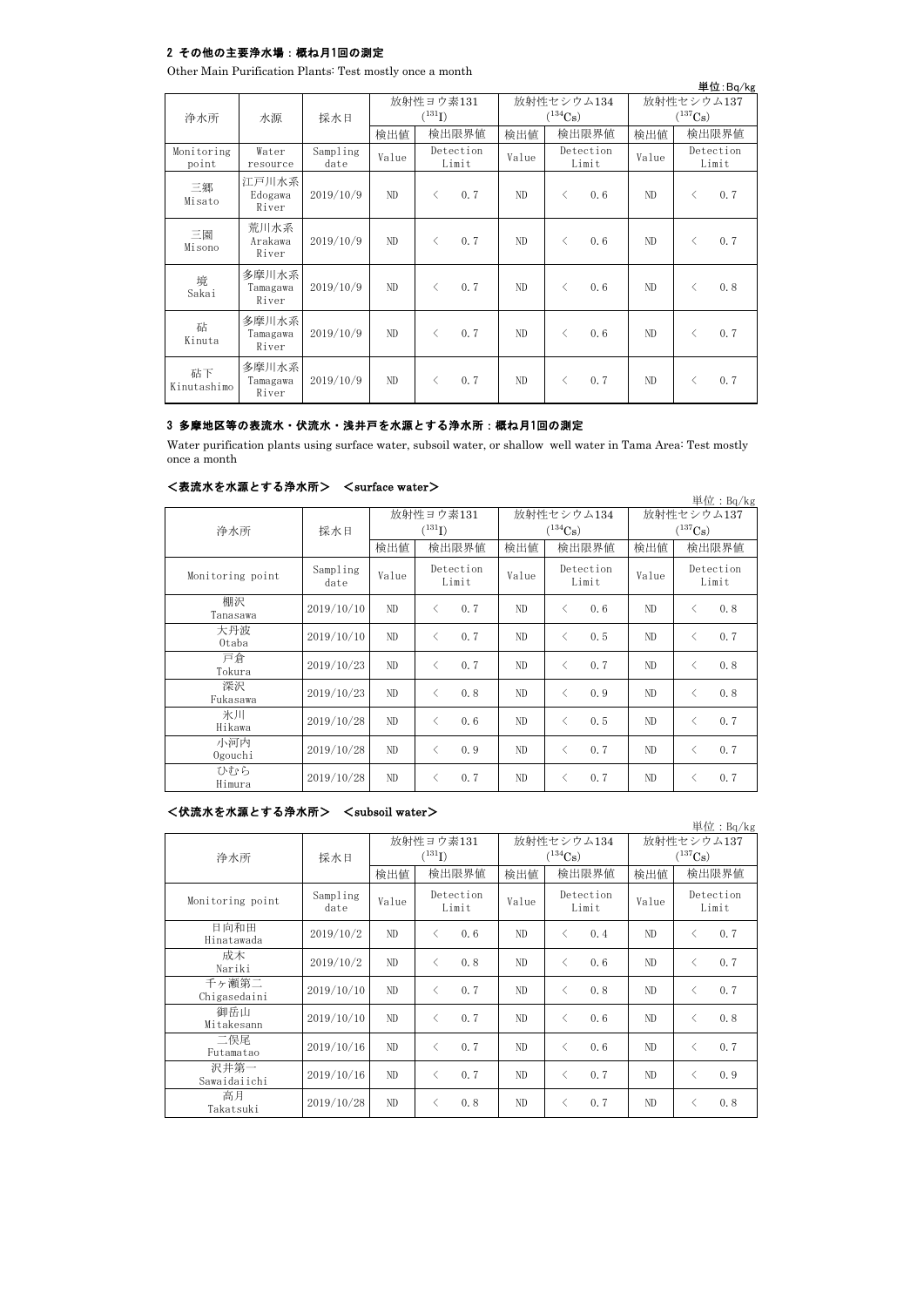### 2 その他の主要浄水場:概ね月1回の測定

Other Main Purification Plants: Test mostly once a month

|                     |                                       |                  |       |                                          |                       |            |                                     |     |       |                                          | 単位:Bq/kg           |
|---------------------|---------------------------------------|------------------|-------|------------------------------------------|-----------------------|------------|-------------------------------------|-----|-------|------------------------------------------|--------------------|
| 浄水所                 | 放射性ヨウ素131<br>$(^{131}I)$<br>採水日<br>水源 |                  |       |                                          | $(^{134}\mathrm{Cs})$ | 放射性セシウム134 | 放射性セシウム137<br>$(^{137}\mathrm{Cs})$ |     |       |                                          |                    |
|                     |                                       |                  | 検出値   |                                          | 検出限界値                 | 検出値        | 検出限界値                               |     | 検出値   | 検出限界値                                    |                    |
| Monitoring<br>point | Water<br>resource                     | Sampling<br>date | Value | Detection<br>Limit                       |                       | Value      | Detection<br>Limit                  |     | Value |                                          | Detection<br>Limit |
| 三郷<br>Misato        | 江戸川水系<br>Edogawa<br>River             | 2019/10/9        | ND.   | $\overline{\left\langle \right\rangle }$ | 0.7                   | ND.        | $\langle$                           | 0.6 | ND.   | $\langle$                                | 0.7                |
| 三園<br>Misono        | 荒川水系<br>Arakawa<br>River              | 2019/10/9        | ND    | $\overline{\left\langle \right\rangle }$ | 0.7                   | ND         | $\langle$                           | 0.6 | ND.   | $\overline{\left\langle \right\rangle }$ | 0.7                |
| 境<br>Sakai          | 多摩川水系<br>Tamagawa<br>River            | 2019/10/9        | ND.   | $\overline{\left\langle \right\rangle }$ | 0.7                   | ND         | $\langle$                           | 0.6 | ND    |                                          | 0.8                |
| 砧<br>Kinuta         | 多摩川水系<br>Tamagawa<br>River            | 2019/10/9        | ND.   | $\overline{\left\langle \right\rangle }$ | 0.7                   | ND         | $\langle$                           | 0.6 | ND    | ⟨                                        | 0.7                |
| 砧下<br>Kinutashimo   | 多摩川水系<br>Tamagawa<br>River            | 2019/10/9        | ND.   | $\overline{\left\langle \right\rangle }$ | 0.7                   | ND         | $\langle$                           | 0.7 | ND    |                                          | 0.7                |

### 3 多摩地区等の表流水・伏流水・浅井戸を水源とする浄水所:概ね月1回の測定

Water purification plants using surface water, subsoil water, or shallow well water in Tama Area: Test mostly once a month

|                  |                  |                          |                                          |       |                                     |                                          |       |                                     |                                          | 単位: $Bq/kg$ |
|------------------|------------------|--------------------------|------------------------------------------|-------|-------------------------------------|------------------------------------------|-------|-------------------------------------|------------------------------------------|-------------|
| 浄水所              | 採水日              | 放射性ヨウ素131<br>$(^{131}I)$ |                                          |       | 放射性セシウム134<br>$(^{134}\mathrm{Cs})$ |                                          |       | 放射性セシウム137<br>$(^{137}\mathrm{Cs})$ |                                          |             |
|                  |                  | 検出値                      |                                          | 検出限界値 | 検出値                                 |                                          | 検出限界値 | 検出値                                 |                                          | 検出限界値       |
| Monitoring point | Sampling<br>date | Value                    | Detection<br>Limit                       |       | Value                               | Detection<br>Limit                       |       | Value                               | Detection<br>Limit                       |             |
| 棚沢<br>Tanasawa   | 2019/10/10       | ND.                      | $\overline{\left\langle \right\rangle }$ | 0.7   | ND                                  | $\langle$                                | 0.6   | ND                                  | $\overline{\left\langle \right\rangle }$ | 0.8         |
| 大丹波<br>Otaba     | 2019/10/10       | ND                       | $\langle$                                | 0.7   | ND                                  | $\langle$                                | 0.5   | ND                                  | $\langle$                                | 0.7         |
| 戸倉<br>Tokura     | 2019/10/23       | ND                       | $\overline{\left\langle \right\rangle }$ | 0.7   | ND                                  | $\overline{\left\langle \right\rangle }$ | 0.7   | ND                                  | ✓                                        | 0.8         |
| 深沢<br>Fukasawa   | 2019/10/23       | ND                       | く                                        | 0.8   | ND                                  | $\langle$                                | 0.9   | ND                                  | ✓                                        | 0.8         |
| 氷川<br>Hikawa     | 2019/10/28       | ND                       | $\overline{\left\langle \right\rangle }$ | 0.6   | ND                                  | $\overline{\left\langle \right\rangle }$ | 0.5   | ND                                  | ✓                                        | 0.7         |
| 小河内<br>Ogouchi   | 2019/10/28       | ND                       | ぐ                                        | 0.9   | ND                                  | $\overline{\left\langle \right\rangle }$ | 0.7   | ND                                  | $\langle$                                | 0.7         |
| ひむら<br>Himura    | 2019/10/28       | ND                       | く                                        | 0.7   | ND                                  | $\langle$                                | 0.7   | ND                                  | ✓                                        | 0.7         |

### <表流水を水源とする浄水所> <surface water>

# <伏流水を水源とする浄水所> <subsoil water>

単位:Bq/kg 検出値 検出限界値 検出限界値 検出値 Sampling date Value  $V$ <sup>Detection</sup> Value Value Value  $2019/10/2$  ND < 0.6 ND < 0.4 ND < 0.7  $2019/10/2$  ND < 0.8 ND < 0.6 ND < 0.7 2019/10/10 ND < 0.7 ND < 0.8 ND < 0.7 2019/10/10 ND < 0.7 ND < 0.6 ND < 0.8 2019/10/16 ND < 0.7 ND < 0.6 ND < 0.7 2019/10/16 ND < 0.7 ND < 0.7 ND < 0.9  $2019/10/28$  ND < 0.8 ND < 0.7 ND < 0.8 高月 Takatsuki 千ヶ瀬第二 Chigasedaini 日向和田 Hinatawada 成木 Nariki Detection Limit 浄水所 採水日 二俣尾 Futamatao 御岳山 Mitakesann 放射性ヨウ素131  $(^{131}I)$ 沢井第一 Sawaidaiichi 放射性セシウム137  $(137)$ Cs) 放射性セシウム134  $(134)$ Cs) Detection Limit 検出限界値 検出限界値 検出限界値 Monitoring point Detection Limit